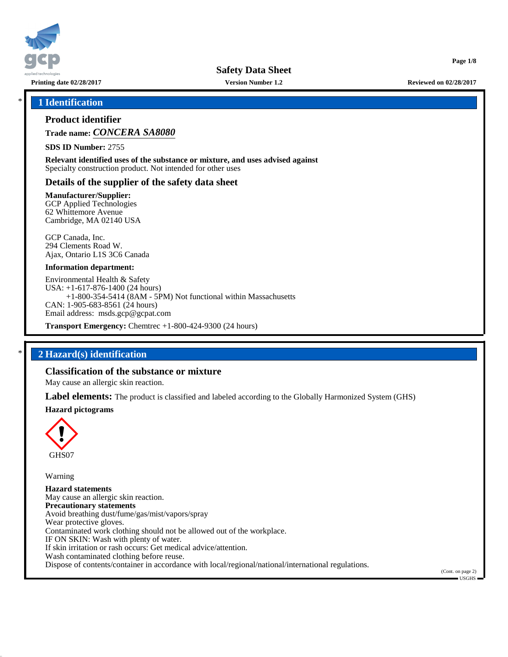

**Printing date 02/28/2017 Version Number 1.2 Reviewed on 02/28/2017**

**Page 1/8**

### \* **1 Identification**

### **Product identifier**

**Trade name:** *CONCERA SA8080*

**SDS ID Number:** 2755

**Relevant identified uses of the substance or mixture, and uses advised against** Specialty construction product. Not intended for other uses

### **Details of the supplier of the safety data sheet**

**Manufacturer/Supplier:**

GCP Applied Technologies 62 Whittemore Avenue Cambridge, MA 02140 USA

GCP Canada, Inc. 294 Clements Road W. Ajax, Ontario L1S 3C6 Canada

#### **Information department:**

Environmental Health & Safety USA: +1-617-876-1400 (24 hours) +1-800-354-5414 (8AM - 5PM) Not functional within Massachusetts CAN: 1-905-683-8561 (24 hours) Email address: msds.gcp@gcpat.com

**Transport Emergency:** Chemtrec +1-800-424-9300 (24 hours)

### \* **2 Hazard(s) identification**

### **Classification of the substance or mixture**

May cause an allergic skin reaction.

**Label elements:** The product is classified and labeled according to the Globally Harmonized System (GHS)

#### **Hazard pictograms**



Warning

**Hazard statements** May cause an allergic skin reaction. **Precautionary statements** Avoid breathing dust/fume/gas/mist/vapors/spray Wear protective gloves. Contaminated work clothing should not be allowed out of the workplace. IF ON SKIN: Wash with plenty of water. If skin irritation or rash occurs: Get medical advice/attention. Wash contaminated clothing before reuse. Dispose of contents/container in accordance with local/regional/national/international regulations.

(Cont. on page 2) USGHS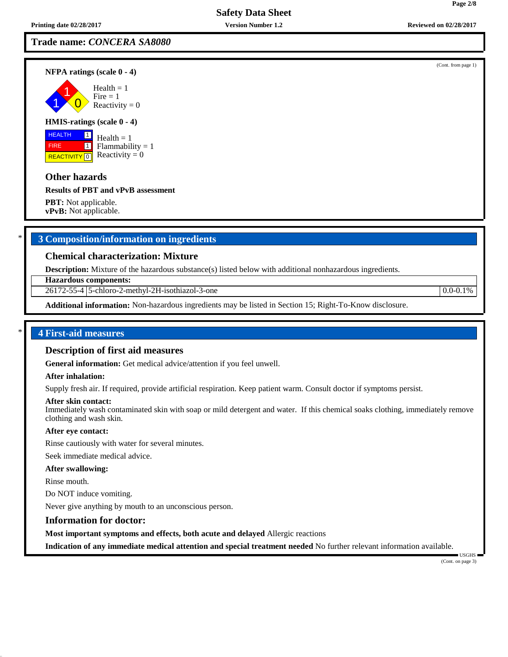### **Trade name:** *CONCERA SA8080*

**NFPA ratings (scale 0 - 4)**

1 1  $\overline{\mathbf{0}}$ 

#### **HMIS-ratings (scale 0 - 4)**

 HEALTH FIRE **REACTIVITY** 0  $\boxed{1}$  $\boxed{1}$  $Health = 1$ Flammability  $= 1$ Reactivity  $= 0$ 

### **Other hazards**

#### **Results of PBT and vPvB assessment**

**PBT:** Not applicable. **vPvB:** Not applicable.

# \* **3 Composition/information on ingredients**

### **Chemical characterization: Mixture**

**Description:** Mixture of the hazardous substance(s) listed below with additional nonhazardous ingredients.

**Hazardous components:**

26172-55-4 5-chloro-2-methyl-2H-isothiazol-3-one 0.0-0.1%

**Additional information:** Non-hazardous ingredients may be listed in Section 15; Right-To-Know disclosure.

### \* **4 First-aid measures**

#### **Description of first aid measures**

**General information:** Get medical advice/attention if you feel unwell.

#### **After inhalation:**

Supply fresh air. If required, provide artificial respiration. Keep patient warm. Consult doctor if symptoms persist.

#### **After skin contact:**

Immediately wash contaminated skin with soap or mild detergent and water. If this chemical soaks clothing, immediately remove clothing and wash skin.

#### **After eye contact:**

Rinse cautiously with water for several minutes.

Seek immediate medical advice.

#### **After swallowing:**

Rinse mouth.

Do NOT induce vomiting.

Never give anything by mouth to an unconscious person.

#### **Information for doctor:**

**Most important symptoms and effects, both acute and delayed** Allergic reactions

**Indication of any immediate medical attention and special treatment needed** No further relevant information available.

 USGHS (Cont. on page 3)

(Cont. from page 1)

**Page 2/8**



 $Health = 1$ 

 $Fire = 1$ Reactivity  $= 0$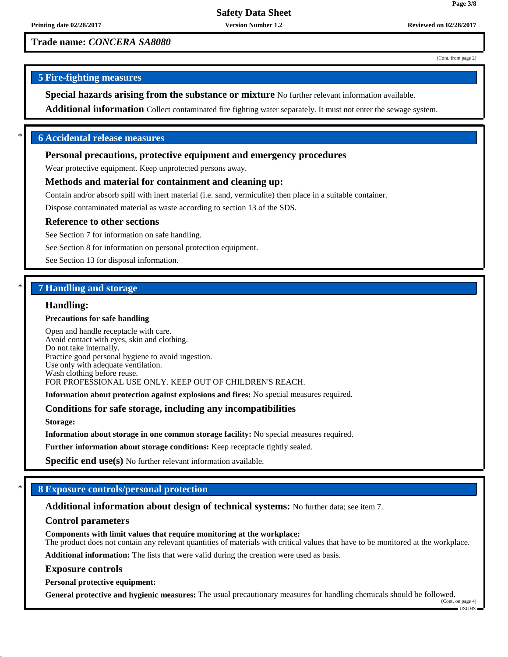# **Trade name:** *CONCERA SA8080*

(Cont. from page 2)

**Page 3/8**

# **5 Fire-fighting measures**

**Special hazards arising from the substance or mixture** No further relevant information available.

**Additional information** Collect contaminated fire fighting water separately. It must not enter the sewage system.

### \* **6 Accidental release measures**

### **Personal precautions, protective equipment and emergency procedures**

Wear protective equipment. Keep unprotected persons away.

### **Methods and material for containment and cleaning up:**

Contain and/or absorb spill with inert material (i.e. sand, vermiculite) then place in a suitable container.

Dispose contaminated material as waste according to section 13 of the SDS.

#### **Reference to other sections**

See Section 7 for information on safe handling.

See Section 8 for information on personal protection equipment.

See Section 13 for disposal information.

### \* **7 Handling and storage**

#### **Handling:**

#### **Precautions for safe handling**

Open and handle receptacle with care. Avoid contact with eyes, skin and clothing. Do not take internally. Practice good personal hygiene to avoid ingestion. Use only with adequate ventilation. Wash clothing before reuse. FOR PROFESSIONAL USE ONLY. KEEP OUT OF CHILDREN'S REACH.

**Information about protection against explosions and fires:** No special measures required.

### **Conditions for safe storage, including any incompatibilities**

**Storage:**

**Information about storage in one common storage facility:** No special measures required.

**Further information about storage conditions:** Keep receptacle tightly sealed.

**Specific end use(s)** No further relevant information available.

# \* **8 Exposure controls/personal protection**

**Additional information about design of technical systems:** No further data; see item 7.

### **Control parameters**

**Components with limit values that require monitoring at the workplace:** The product does not contain any relevant quantities of materials with critical values that have to be monitored at the workplace.

**Additional information:** The lists that were valid during the creation were used as basis.

#### **Exposure controls**

**Personal protective equipment:**

**General protective and hygienic measures:** The usual precautionary measures for handling chemicals should be followed. (Cont. on page 4)

USGHS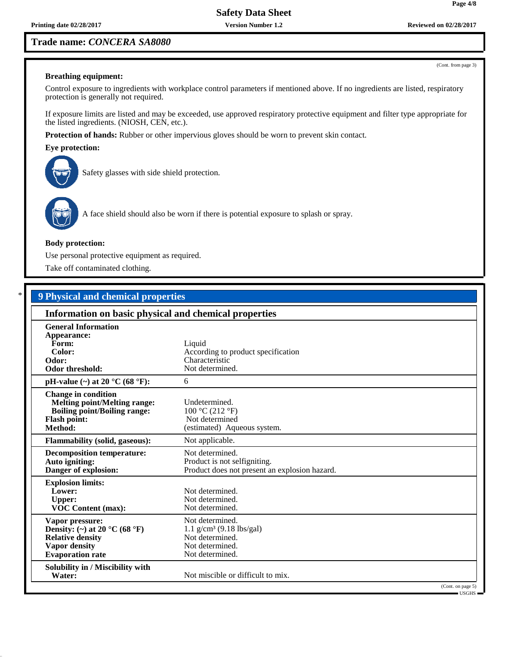**Printing date 02/28/2017 Version Number 1.2 Reviewed on 02/28/2017**

# **Trade name:** *CONCERA SA8080*

# **Breathing equipment:**

Control exposure to ingredients with workplace control parameters if mentioned above. If no ingredients are listed, respiratory protection is generally not required.

If exposure limits are listed and may be exceeded, use approved respiratory protective equipment and filter type appropriate for the listed ingredients. (NIOSH, CEN, etc.).

**Protection of hands:** Rubber or other impervious gloves should be worn to prevent skin contact.

## **Eye protection:**

Safety glasses with side shield protection.



A face shield should also be worn if there is potential exposure to splash or spray.

### **Body protection:**

Use personal protective equipment as required.

Take off contaminated clothing.

# \* **9 Physical and chemical properties**

| Information on basic physical and chemical properties                                                                                      |                                                                                                                    |  |
|--------------------------------------------------------------------------------------------------------------------------------------------|--------------------------------------------------------------------------------------------------------------------|--|
| <b>General Information</b><br>Appearance:<br>Form:<br>Color:<br>Odor:<br><b>Odor threshold:</b>                                            | Liquid<br>According to product specification<br>Characteristic<br>Not determined.                                  |  |
| pH-value $(\sim)$ at 20 °C (68 °F):                                                                                                        | 6                                                                                                                  |  |
| <b>Change in condition</b><br><b>Melting point/Melting range:</b><br><b>Boiling point/Boiling range:</b><br><b>Flash point:</b><br>Method: | Undetermined.<br>100 °C (212 °F)<br>Not determined<br>(estimated) Aqueous system.                                  |  |
| <b>Flammability (solid, gaseous):</b>                                                                                                      | Not applicable.                                                                                                    |  |
| <b>Decomposition temperature:</b><br>Auto igniting:<br>Danger of explosion:                                                                | Not determined.<br>Product is not selfigniting.<br>Product does not present an explosion hazard.                   |  |
| <b>Explosion limits:</b><br>Lower:<br><b>Upper:</b><br><b>VOC Content (max):</b>                                                           | Not determined.<br>Not determined.<br>Not determined.                                                              |  |
| Vapor pressure:<br>Density: (~) at 20 °C (68 °F)<br><b>Relative density</b><br>Vapor density<br><b>Evaporation rate</b>                    | Not determined.<br>$1.1$ g/cm <sup>3</sup> (9.18 lbs/gal)<br>Not determined.<br>Not determined.<br>Not determined. |  |
| Solubility in / Miscibility with<br>Water:                                                                                                 | Not miscible or difficult to mix.                                                                                  |  |
|                                                                                                                                            | (Cont. on page 5)<br>100110                                                                                        |  |

USGHS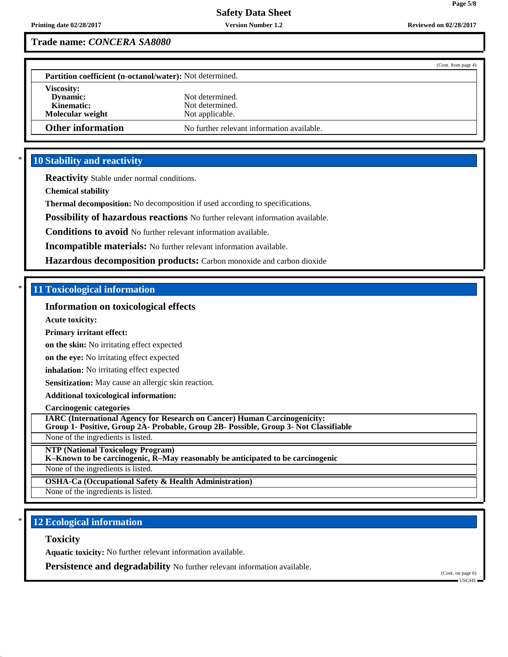**Page 5/8**

# **Trade name:** *CONCERA SA8080*

|                                                          | (Cont. from page 4)                        |
|----------------------------------------------------------|--------------------------------------------|
| Partition coefficient (n-octanol/water): Not determined. |                                            |
| <b>Viscosity:</b>                                        |                                            |
| Dynamic:                                                 | Not determined.                            |
| Kinematic:                                               | Not determined.                            |
| Molecular weight                                         | Not applicable.                            |
| <b>Other information</b>                                 | No further relevant information available. |

# **10 Stability and reactivity**

**Reactivity** Stable under normal conditions.

**Chemical stability**

**Thermal decomposition:** No decomposition if used according to specifications.

**Possibility of hazardous reactions** No further relevant information available.

**Conditions to avoid** No further relevant information available.

**Incompatible materials:** No further relevant information available.

**Hazardous decomposition products:** Carbon monoxide and carbon dioxide

# \* **11 Toxicological information**

## **Information on toxicological effects**

**Acute toxicity:**

#### **Primary irritant effect:**

**on the skin:** No irritating effect expected

**on the eye:** No irritating effect expected

**inhalation:** No irritating effect expected

**Sensitization:** May cause an allergic skin reaction.

### **Additional toxicological information:**

**Carcinogenic categories**

**IARC (International Agency for Research on Cancer) Human Carcinogenicity: Group 1- Positive, Group 2A- Probable, Group 2B- Possible, Group 3- Not Classifiable**

None of the ingredients is listed.

**NTP (National Toxicology Program)**

**K–Known to be carcinogenic, R–May reasonably be anticipated to be carcinogenic**

None of the ingredients is listed.

**OSHA-Ca (Occupational Safety & Health Administration)**

None of the ingredients is listed.

# **12 Ecological information**

#### **Toxicity**

**Aquatic toxicity:** No further relevant information available.

**Persistence and degradability** No further relevant information available.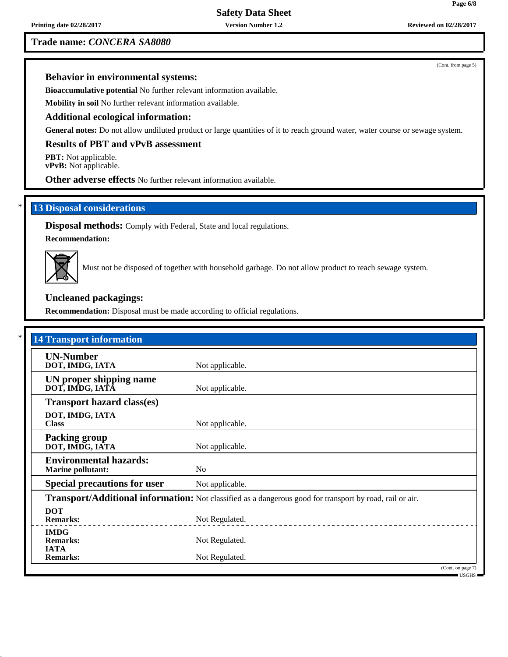**Printing date 02/28/2017 Version Number 1.2 Reviewed on 02/28/2017**

# **Trade name:** *CONCERA SA8080*

(Cont. from page 5)

# **Behavior in environmental systems:**

**Bioaccumulative potential** No further relevant information available.

**Mobility in soil** No further relevant information available.

### **Additional ecological information:**

**General notes:** Do not allow undiluted product or large quantities of it to reach ground water, water course or sewage system.

# **Results of PBT and vPvB assessment**

**PBT:** Not applicable. **vPvB:** Not applicable.

**Other adverse effects** No further relevant information available.

### **13 Disposal considerations**

**Disposal methods:** Comply with Federal, State and local regulations.

**Recommendation:**



Must not be disposed of together with household garbage. Do not allow product to reach sewage system.

### **Uncleaned packagings:**

**Recommendation:** Disposal must be made according to official regulations.

| <b>14 Transport information</b>                           |                                                                                                          |                            |
|-----------------------------------------------------------|----------------------------------------------------------------------------------------------------------|----------------------------|
| <b>UN-Number</b><br>DOT, IMDG, IATA                       | Not applicable.                                                                                          |                            |
| UN proper shipping name<br>DOT, IMDG, IATĀ                | Not applicable.                                                                                          |                            |
| <b>Transport hazard class(es)</b>                         |                                                                                                          |                            |
| DOT, IMDG, IATA<br><b>Class</b>                           | Not applicable.                                                                                          |                            |
| <b>Packing group</b><br>DOT, IMDG, IATA                   | Not applicable.                                                                                          |                            |
| <b>Environmental hazards:</b><br><b>Marine pollutant:</b> | N <sub>o</sub>                                                                                           |                            |
| <b>Special precautions for user</b>                       | Not applicable.                                                                                          |                            |
|                                                           | Transport/Additional information: Not classified as a dangerous good for transport by road, rail or air. |                            |
| <b>DOT</b><br><b>Remarks:</b>                             | Not Regulated.                                                                                           |                            |
| <b>IMDG</b><br><b>Remarks:</b><br><b>IATA</b>             | Not Regulated.                                                                                           |                            |
| <b>Remarks:</b>                                           | Not Regulated.                                                                                           |                            |
|                                                           |                                                                                                          | (Cont. on page 7)<br>USGHS |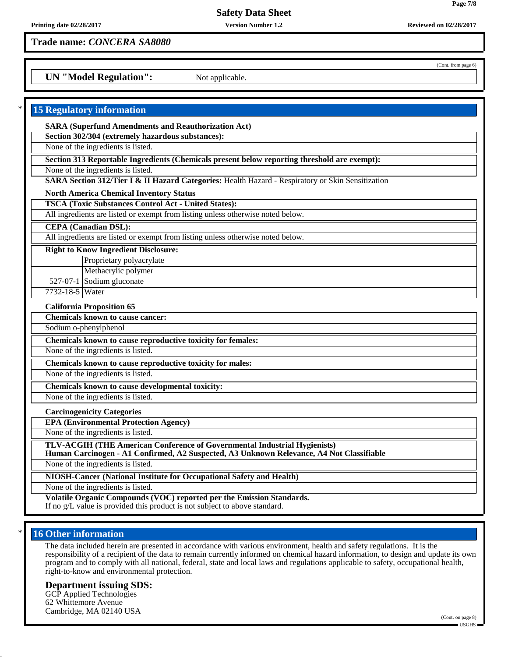**Page 7/8**

(Cont. from page 6)

**Trade name:** *CONCERA SA8080*

**UN "Model Regulation":** Not applicable.

| <b>15 Regulatory information</b>                                                                                                                    |
|-----------------------------------------------------------------------------------------------------------------------------------------------------|
| <b>SARA (Superfund Amendments and Reauthorization Act)</b>                                                                                          |
| Section 302/304 (extremely hazardous substances):                                                                                                   |
| None of the ingredients is listed.                                                                                                                  |
| Section 313 Reportable Ingredients (Chemicals present below reporting threshold are exempt):                                                        |
| None of the ingredients is listed.                                                                                                                  |
| SARA Section 312/Tier I & II Hazard Categories: Health Hazard - Respiratory or Skin Sensitization                                                   |
| <b>North America Chemical Inventory Status</b>                                                                                                      |
| <b>TSCA (Toxic Substances Control Act - United States):</b>                                                                                         |
| All ingredients are listed or exempt from listing unless otherwise noted below.                                                                     |
| <b>CEPA</b> (Canadian DSL):                                                                                                                         |
| All ingredients are listed or exempt from listing unless otherwise noted below.                                                                     |
| <b>Right to Know Ingredient Disclosure:</b>                                                                                                         |
| Proprietary polyacrylate                                                                                                                            |
| Methacrylic polymer                                                                                                                                 |
| 527-07-1 Sodium gluconate                                                                                                                           |
| 7732-18-5 Water                                                                                                                                     |
| <b>California Proposition 65</b>                                                                                                                    |
| <b>Chemicals known to cause cancer:</b>                                                                                                             |
| Sodium o-phenylphenol                                                                                                                               |
| Chemicals known to cause reproductive toxicity for females:                                                                                         |
| None of the ingredients is listed.                                                                                                                  |
| Chemicals known to cause reproductive toxicity for males:                                                                                           |
| None of the ingredients is listed.                                                                                                                  |
| Chemicals known to cause developmental toxicity:                                                                                                    |
| None of the ingredients is listed.                                                                                                                  |
| <b>Carcinogenicity Categories</b>                                                                                                                   |
| <b>EPA (Environmental Protection Agency)</b>                                                                                                        |
| None of the ingredients is listed.                                                                                                                  |
| TLV-ACGIH (THE American Conference of Governmental Industrial Hygienists)                                                                           |
| Human Carcinogen - A1 Confirmed, A2 Suspected, A3 Unknown Relevance, A4 Not Classifiable                                                            |
| None of the ingredients is listed.                                                                                                                  |
| NIOSH-Cancer (National Institute for Occupational Safety and Health)                                                                                |
| None of the ingredients is listed.                                                                                                                  |
| Volatile Organic Compounds (VOC) reported per the Emission Standards.<br>If no g/L value is provided this product is not subject to above standard. |

# **16 Other information**

The data included herein are presented in accordance with various environment, health and safety regulations. It is the responsibility of a recipient of the data to remain currently informed on chemical hazard information, to design and update its own program and to comply with all national, federal, state and local laws and regulations applicable to safety, occupational health, right-to-know and environmental protection.

### **Department issuing SDS:**

GCP Applied Technologies 62 Whittemore Avenue Cambridge, MA 02140 USA